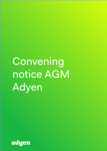Convening notice AGM Adyen

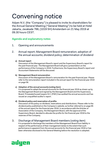# Convening notice

Adyen N.V. (the "Company") is pleased to invite its shareholders for the Annual General Meeting ("General Meeting") to be held at Hotel Jakarta, Javakade 766, (1019 SH) Amsterdam on 21 May 2019 at 09.30 hours CEST.

# **Agenda and explanatory notes**

- 1. Opening and announcements
- 2. Annual report; Management Board remuneration; adoption of the annual accounts; dividend policy; determination of dividend

## **a) Annual report**

Discussion of the Management Board's report and the Supervisory Board's report for the past financial year. The Management Board will give a presentation on the performance of the Company in 2018. Furthermore, the Supervisory Board's report and Accountant Statements will be discussed.

## **b) Management Board remuneration**

Discussion of the Management Board's remuneration for the past financial year. Please refer to the remuneration report included in the annual report for the financial year 2018 on page 56.

## **c) Adoption of the annual accounts (***voting item***)**

It is proposed to adopt the annual accounts for the financial year 2018 as drawn up by the Management Board and signed by the Management Board and the Supervisory Board. PricewaterhouseCoopers N.V. (PWC) has audited the annual accounts and has issued an unqualified auditor's report.

## **d) Dividend policy and reservation of profits**

Discussion of the policy on dividend, reservations and distributions. Please refer to the dividend policy published on the Company's website, as further referred to on page 85 of the annual report for the financial year 2018. In accordance with the Articles of Association of the Company, the Management Board, with the approval of the Supervisory Board, decided to allocate the profits for the financial year 2018 to the reserves of the Company.

# 3. Discharge of Management Board members (*voting item*)

It is proposed to discharge the members of the Management Board from liability in respect of the performance of their management duties to the extent that such performance is apparent from the annual accounts for the financial year 2018 or has been otherwise disclosed to the General Meeting before the resolution is adopted.

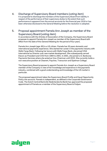# 4. Discharge of Supervisory Board members (*voting item*)

It is proposed to discharge the members of the Supervisory Board from liability in respect of the performance of their supervisory duties to the extent that such performance is apparent from the annual accounts for the financial year 2018 or has been otherwise disclosed to the General Meeting before the resolution is adopted.

# 5. Proposal appointment Pamela Ann Joseph as member of the Supervisory Board (*voting item*)

In accordance with the Articles of Association of the Company, the Supervisory Board proposes to appoint Pamela Ann Joseph as member of the Supervisory Board with effect from the date of this General Meeting for the period of four years.

Pamela Ann Joseph (age: 60) is a US citizen. Pamela has 30 years domestic and international payments experience. She started her career in the payments industry with Wells Fargo Bank. Following her tenure with Wells Fargo Bank, she joined VISA International as Director over new market development. She subsequently served Elavon as President and COO from 1994 to 2001. In 2001, she joined U.S. Bankcorp Payments Services where she acted as Vice-Chairman until 2015. She currently holds a non-executive position at Clearent, Paychex, Transunion and Spelman College.

The Supervisory Board proposes to appoint Pamela Ann Joseph as a Supervisory Board member of the Company in view of her knowledge and experience in the payments industry, combined with a good understanding and knowledge of the US market in particular.

The proposed appointment takes the Supervisory Board Profile and Equal Opportunity Policy into account. Pamela is independent, as defined in the Corporate Governance Code. The Dutch Central Bank (*De Nederlandsche Bank*) has approved the proposed appointment of Pamela as a member of the Supervisory Board of Adyen.

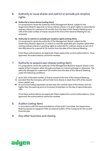# 6. Authority to issue shares and restrict or exclude pre-emptive rights

## **a) Authority to issue shares (***voting item***)**

It is proposed to renew the authority of the Management Board, subject to the Supervisory Board's approval, to issue ordinary shares or to grant rights to subscribe for ordinary shares for a period of 18 months from the date of this General Meeting up to 10% of the total number of shares issued at the time of the General Meeting for any purposes.

## **b) Authority to restrict or exclude pre-emptive rights (***voting item***)**

It is proposed to renew the authority of the Management Board, subject to the Supervisory Board's approval, to restrict or exclude applicable pre-emptive rights when issuing ordinary shares or granting rights to subscribe for ordinary shares as set out in item 6(a) above for a period of 18 months from the date of this General Meeting.

Once these authorizations are approved, these replace the current authorizations. Once approved, the authorizations cannot be revoked.

# 7. Authority to acquire own shares (*voting item*)

It is proposed to renew the authority of the Management Board to acquire shares in the capital of the Company, either through purchase on a stock exchange or otherwise. The authority will apply for a period of 18 months from the date of this General Meeting, under the following conditions:

- **I.** up to 10% of the total number of shares issued at the time of the General Meeting;
- **II.** provided that the Company will not hold more shares in stock than 10% of the issued share capital; and
- **III.** at a price (excluding expenses) not less than the nominal value of the shares and not higher than the opening price on Euronext Amsterdam on the day of repurchase plus 10%.

Once these authorizations are approved, these replace the current authorizations. Once approved, the authorizations cannot be revoked.

## 8. Auditor (*voting item*)

In accordance with the recommendations of the Audit Committee, the Supervisory Board proposes to reappoint PWC as external auditor of the Company for the current financial year.

## 9. Any other business and closing

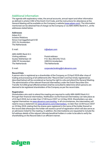# Additional information

The agenda with explanatory notes, the annual accounts, annual report and other information as defined in article 2:392 of the Dutch Civil Code, and the instructions for attendance at the General Meeting will be available on the Company's website (www.adyen.com). The information mentioned can be obtained free of charge via the Company or via ABN AMRO Bank N.V., at the addresses stated below.

#### **Addresses**

Adyen N.V. Investor Relations Simon Carmiggeltstraat 6-50 1011 DJ Amsterdam The Netherlands

| c<br>×<br>. . |  |
|---------------|--|
|               |  |

ir@adyen.com

ABN AMRO Bank N.V. Visiting address: Postal address: 1082 PP Amsterdam 1000 EA Amsterdam The Netherlands The Netherlands

Gustav Mahlerlaan 10 P.O. Box 283 (HQ 7212)

E-mail: corporate.broking@nl.abnamro.com

#### **Record Date**

A person who is registered as a shareholder of the Company on 23 April 2019 after close of trading and processing of all settlements (the "Record Date") and has timely registered (as described below) will be considered as having the right to vote and attend the General Meeting. The administration of the relevant financial intermediary under the Dutch Securities Giro Transfer Act (*Wet giraal effectenverkeer*) shall be consulted to determine which persons are deemed to be registered shareholders of the Company as per the record date.

#### **Registration**

Shareholders who wish to attend the meeting are required to notify ABN AMRO Bank N.V. through their financial intermediary. Notification via the financial intermediary can take place as of 24 April 2019, but no later than 17:00 hours CEST on 14 May 2019. Shareholders can also register themselves via www.abnamro.com/evoting. In all circumstances, the intermediary will need to issue a statement via www.abnamro.com/intermediary, no later than 12:00 hours CEST on 15 May 2019, stating that the shares were registered in the name of the holder thereof on the record date whereupon the holder will receive a proof of registration which will also serve as an admission ticket for the meeting. In addition, the intermediaries are requested to include the full address details of the relevant ultimate beneficial holders in order to be able to verify the shareholding on the Record Date in an efficient manner.